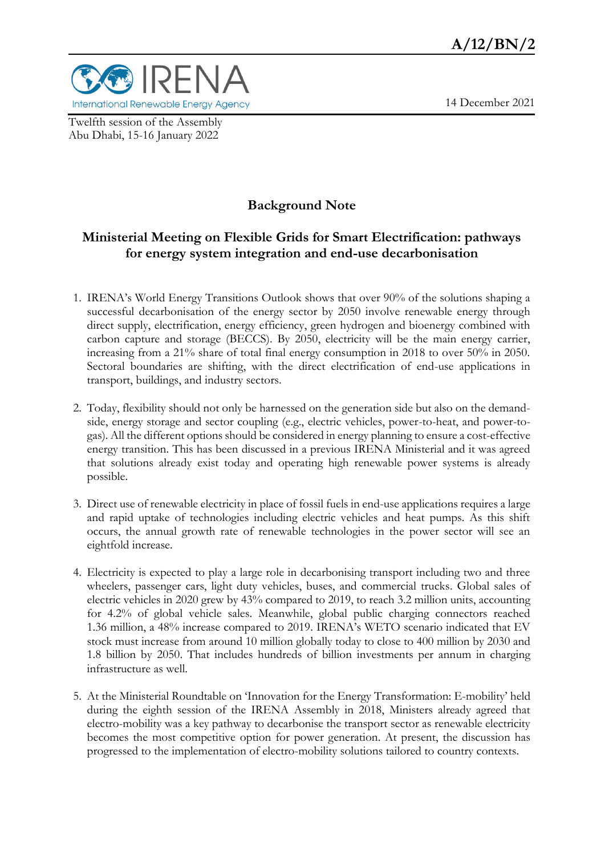14 December 2021



Twelfth session of the Assembly Abu Dhabi, 15-16 January 2022

## **Background Note**

### **Ministerial Meeting on Flexible Grids for Smart Electrification: pathways for energy system integration and end-use decarbonisation**

- 1. IRENA's World Energy Transitions Outlook shows that over 90% of the solutions shaping a successful decarbonisation of the energy sector by 2050 involve renewable energy through direct supply, electrification, energy efficiency, green hydrogen and bioenergy combined with carbon capture and storage (BECCS). By 2050, electricity will be the main energy carrier, increasing from a 21% share of total final energy consumption in 2018 to over 50% in 2050. Sectoral boundaries are shifting, with the direct electrification of end-use applications in transport, buildings, and industry sectors.
- 2. Today, flexibility should not only be harnessed on the generation side but also on the demandside, energy storage and sector coupling (e.g., electric vehicles, power-to-heat, and power-togas). All the different options should be considered in energy planning to ensure a cost-effective energy transition. This has been discussed in a previous IRENA Ministerial and it was agreed that solutions already exist today and operating high renewable power systems is already possible.
- 3. Direct use of renewable electricity in place of fossil fuels in end-use applications requires a large and rapid uptake of technologies including electric vehicles and heat pumps. As this shift occurs, the annual growth rate of renewable technologies in the power sector will see an eightfold increase.
- 4. Electricity is expected to play a large role in decarbonising transport including two and three wheelers, passenger cars, light duty vehicles, buses, and commercial trucks. Global sales of electric vehicles in 2020 grew by 43% compared to 2019, to reach 3.2 million units, accounting for 4.2% of global vehicle sales. Meanwhile, global public charging connectors reached 1.36 million, a 48% increase compared to 2019. IRENA's WETO scenario indicated that EV stock must increase from around 10 million globally today to close to 400 million by 2030 and 1.8 billion by 2050. That includes hundreds of billion investments per annum in charging infrastructure as well.
- 5. At the Ministerial Roundtable on 'Innovation for the Energy Transformation: E-mobility' held during the eighth session of the IRENA Assembly in 2018, Ministers already agreed that electro-mobility was a key pathway to decarbonise the transport sector as renewable electricity becomes the most competitive option for power generation. At present, the discussion has progressed to the implementation of electro-mobility solutions tailored to country contexts.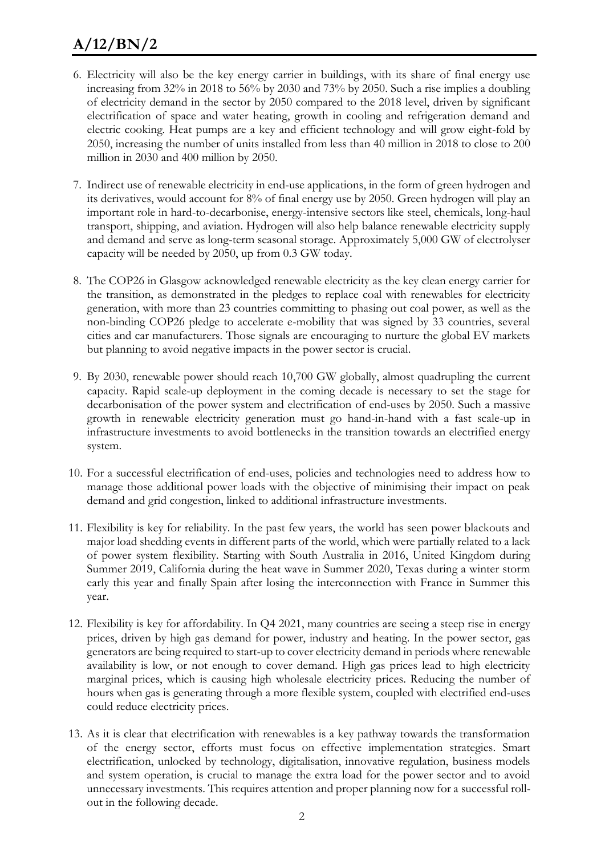# **A/12/BN/2**

- 6. Electricity will also be the key energy carrier in buildings, with its share of final energy use increasing from 32% in 2018 to 56% by 2030 and 73% by 2050. Such a rise implies a doubling of electricity demand in the sector by 2050 compared to the 2018 level, driven by significant electrification of space and water heating, growth in cooling and refrigeration demand and electric cooking. Heat pumps are a key and efficient technology and will grow eight-fold by 2050, increasing the number of units installed from less than 40 million in 2018 to close to 200 million in 2030 and 400 million by 2050.
- 7. Indirect use of renewable electricity in end-use applications, in the form of green hydrogen and its derivatives, would account for 8% of final energy use by 2050. Green hydrogen will play an important role in hard-to-decarbonise, energy-intensive sectors like steel, chemicals, long-haul transport, shipping, and aviation. Hydrogen will also help balance renewable electricity supply and demand and serve as long-term seasonal storage. Approximately 5,000 GW of electrolyser capacity will be needed by 2050, up from 0.3 GW today.
- 8. The COP26 in Glasgow acknowledged renewable electricity as the key clean energy carrier for the transition, as demonstrated in the pledges to replace coal with renewables for electricity generation, with more than 23 countries committing to phasing out coal power, as well as the non-binding COP26 pledge to accelerate e-mobility that was signed by 33 countries, several cities and car manufacturers. Those signals are encouraging to nurture the global EV markets but planning to avoid negative impacts in the power sector is crucial.
- 9. By 2030, renewable power should reach 10,700 GW globally, almost quadrupling the current capacity. Rapid scale-up deployment in the coming decade is necessary to set the stage for decarbonisation of the power system and electrification of end-uses by 2050. Such a massive growth in renewable electricity generation must go hand-in-hand with a fast scale-up in infrastructure investments to avoid bottlenecks in the transition towards an electrified energy system.
- 10. For a successful electrification of end-uses, policies and technologies need to address how to manage those additional power loads with the objective of minimising their impact on peak demand and grid congestion, linked to additional infrastructure investments.
- 11. Flexibility is key for reliability. In the past few years, the world has seen power blackouts and major load shedding events in different parts of the world, which were partially related to a lack of power system flexibility. Starting with South Australia in 2016, United Kingdom during Summer 2019, California during the heat wave in Summer 2020, Texas during a winter storm early this year and finally Spain after losing the interconnection with France in Summer this year.
- 12. Flexibility is key for affordability. In Q4 2021, many countries are seeing a steep rise in energy prices, driven by high gas demand for power, industry and heating. In the power sector, gas generators are being required to start-up to cover electricity demand in periods where renewable availability is low, or not enough to cover demand. High gas prices lead to high electricity marginal prices, which is causing high wholesale electricity prices. Reducing the number of hours when gas is generating through a more flexible system, coupled with electrified end-uses could reduce electricity prices.
- 13. As it is clear that electrification with renewables is a key pathway towards the transformation of the energy sector, efforts must focus on effective implementation strategies. Smart electrification, unlocked by technology, digitalisation, innovative regulation, business models and system operation, is crucial to manage the extra load for the power sector and to avoid unnecessary investments. This requires attention and proper planning now for a successful rollout in the following decade.